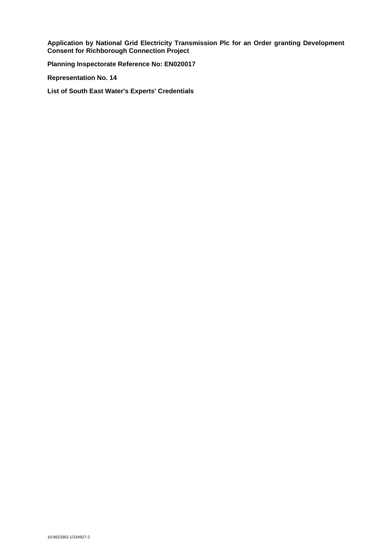**Application by National Grid Electricity Transmission Plc for an Order granting Development Consent for Richborough Connection Project**

**Planning Inspectorate Reference No: EN020017**

**Representation No. 14**

**List of South East Water's Experts' Credentials**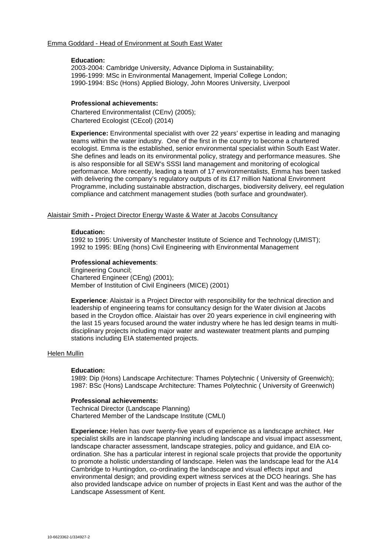#### **Education:**

2003-2004: Cambridge University, Advance Diploma in Sustainability; 1996-1999: MSc in Environmental Management, Imperial College London; 1990-1994: BSc (Hons) Applied Biology, John Moores University, Liverpool

### **Professional achievements:**

Chartered Environmentalist (CEnv) (2005); Chartered Ecologist (CEcol) (2014)

**Experience:** Environmental specialist with over 22 years' expertise in leading and managing teams within the water industry. One of the first in the country to become a chartered ecologist. Emma is the established, senior environmental specialist within South East Water. She defines and leads on its environmental policy, strategy and performance measures. She is also responsible for all SEW's SSSI land management and monitoring of ecological performance. More recently, leading a team of 17 environmentalists, Emma has been tasked with delivering the company's regulatory outputs of its £17 million National Environment Programme, including sustainable abstraction, discharges, biodiversity delivery, eel regulation compliance and catchment management studies (both surface and groundwater).

# Alaistair Smith **-** Project Director Energy Waste & Water at Jacobs Consultancy

## **Education:**

1992 to 1995: University of Manchester Institute of Science and Technology (UMIST); 1992 to 1995: BEng (hons) Civil Engineering with Environmental Management

### **Professional achievements**:

Engineering Council; Chartered Engineer (CEng) (2001); Member of Institution of Civil Engineers (MICE) (2001)

**Experience**: Alaistair is a Project Director with responsibility for the technical direction and leadership of engineering teams for consultancy design for the Water division at Jacobs based in the Croydon office. Alaistair has over 20 years experience in civil engineering with the last 15 years focused around the water industry where he has led design teams in multidisciplinary projects including major water and wastewater treatment plants and pumping stations including EIA statemented projects.

#### Helen Mullin

#### **Education:**

1989: Dip (Hons) Landscape Architecture: Thames Polytechnic ( University of Greenwich); 1987: BSc (Hons) Landscape Architecture: Thames Polytechnic ( University of Greenwich)

## **Professional achievements:**

Technical Director (Landscape Planning) Chartered Member of the Landscape Institute (CMLI)

**Experience:** Helen has over twenty-five years of experience as a landscape architect. Her specialist skills are in landscape planning including landscape and visual impact assessment, landscape character assessment, landscape strategies, policy and guidance, and EIA coordination. She has a particular interest in regional scale projects that provide the opportunity to promote a holistic understanding of landscape. Helen was the landscape lead for the A14 Cambridge to Huntingdon, co-ordinating the landscape and visual effects input and environmental design; and providing expert witness services at the DCO hearings. She has also provided landscape advice on number of projects in East Kent and was the author of the Landscape Assessment of Kent.